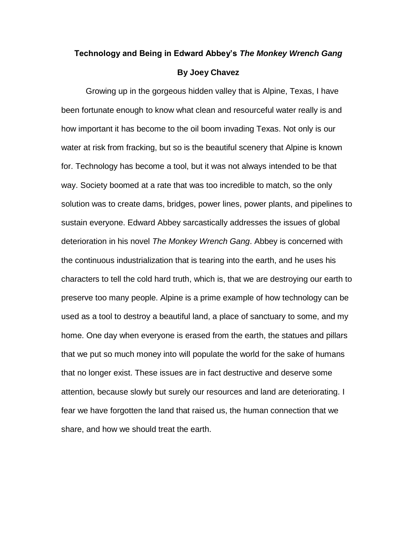## **Technology and Being in Edward Abbey's** *The Monkey Wrench Gang* **By Joey Chavez**

Growing up in the gorgeous hidden valley that is Alpine, Texas, I have been fortunate enough to know what clean and resourceful water really is and how important it has become to the oil boom invading Texas. Not only is our water at risk from fracking, but so is the beautiful scenery that Alpine is known for. Technology has become a tool, but it was not always intended to be that way. Society boomed at a rate that was too incredible to match, so the only solution was to create dams, bridges, power lines, power plants, and pipelines to sustain everyone. Edward Abbey sarcastically addresses the issues of global deterioration in his novel *The Monkey Wrench Gang*. Abbey is concerned with the continuous industrialization that is tearing into the earth, and he uses his characters to tell the cold hard truth, which is, that we are destroying our earth to preserve too many people. Alpine is a prime example of how technology can be used as a tool to destroy a beautiful land, a place of sanctuary to some, and my home. One day when everyone is erased from the earth, the statues and pillars that we put so much money into will populate the world for the sake of humans that no longer exist. These issues are in fact destructive and deserve some attention, because slowly but surely our resources and land are deteriorating. I fear we have forgotten the land that raised us, the human connection that we share, and how we should treat the earth.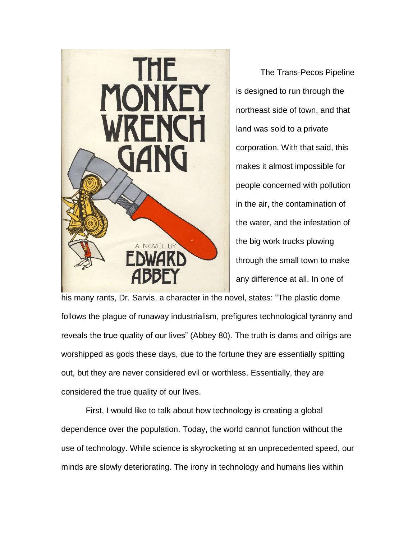

The Trans-Pecos Pipeline is designed to run through the northeast side of town, and that land was sold to a private corporation. With that said, this makes it almost impossible for people concerned with pollution in the air, the contamination of the water, and the infestation of the big work trucks plowing through the small town to make any difference at all. In one of

his many rants, Dr. Sarvis, a character in the novel, states: "The plastic dome follows the plague of runaway industrialism, prefigures technological tyranny and reveals the true quality of our lives" (Abbey 80). The truth is dams and oilrigs are worshipped as gods these days, due to the fortune they are essentially spitting out, but they are never considered evil or worthless. Essentially, they are considered the true quality of our lives.

First, I would like to talk about how technology is creating a global dependence over the population. Today, the world cannot function without the use of technology. While science is skyrocketing at an unprecedented speed, our minds are slowly deteriorating. The irony in technology and humans lies within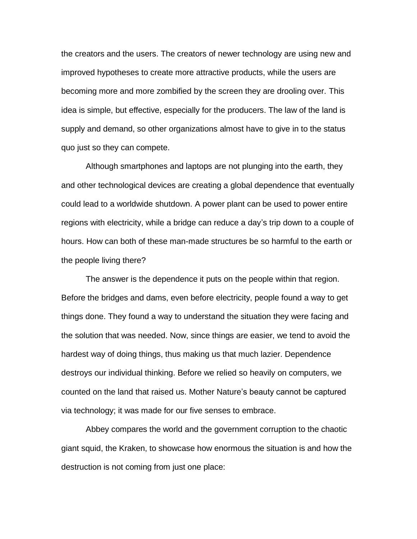the creators and the users. The creators of newer technology are using new and improved hypotheses to create more attractive products, while the users are becoming more and more zombified by the screen they are drooling over. This idea is simple, but effective, especially for the producers. The law of the land is supply and demand, so other organizations almost have to give in to the status quo just so they can compete.

Although smartphones and laptops are not plunging into the earth, they and other technological devices are creating a global dependence that eventually could lead to a worldwide shutdown. A power plant can be used to power entire regions with electricity, while a bridge can reduce a day's trip down to a couple of hours. How can both of these man-made structures be so harmful to the earth or the people living there?

The answer is the dependence it puts on the people within that region. Before the bridges and dams, even before electricity, people found a way to get things done. They found a way to understand the situation they were facing and the solution that was needed. Now, since things are easier, we tend to avoid the hardest way of doing things, thus making us that much lazier. Dependence destroys our individual thinking. Before we relied so heavily on computers, we counted on the land that raised us. Mother Nature's beauty cannot be captured via technology; it was made for our five senses to embrace.

Abbey compares the world and the government corruption to the chaotic giant squid, the Kraken, to showcase how enormous the situation is and how the destruction is not coming from just one place: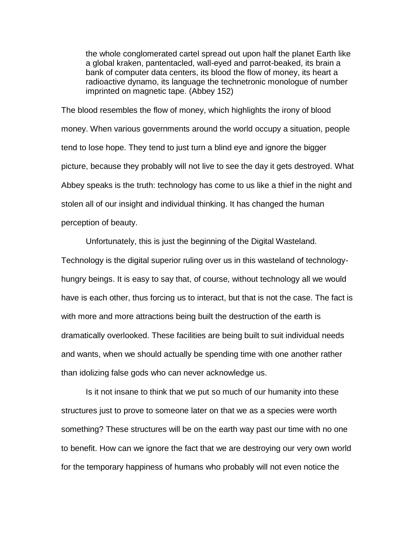the whole conglomerated cartel spread out upon half the planet Earth like a global kraken, pantentacled, wall-eyed and parrot-beaked, its brain a bank of computer data centers, its blood the flow of money, its heart a radioactive dynamo, its language the technetronic monologue of number imprinted on magnetic tape. (Abbey 152)

The blood resembles the flow of money, which highlights the irony of blood money. When various governments around the world occupy a situation, people tend to lose hope. They tend to just turn a blind eye and ignore the bigger picture, because they probably will not live to see the day it gets destroyed. What Abbey speaks is the truth: technology has come to us like a thief in the night and stolen all of our insight and individual thinking. It has changed the human perception of beauty.

Unfortunately, this is just the beginning of the Digital Wasteland.

Technology is the digital superior ruling over us in this wasteland of technologyhungry beings. It is easy to say that, of course, without technology all we would have is each other, thus forcing us to interact, but that is not the case. The fact is with more and more attractions being built the destruction of the earth is dramatically overlooked. These facilities are being built to suit individual needs and wants, when we should actually be spending time with one another rather than idolizing false gods who can never acknowledge us.

Is it not insane to think that we put so much of our humanity into these structures just to prove to someone later on that we as a species were worth something? These structures will be on the earth way past our time with no one to benefit. How can we ignore the fact that we are destroying our very own world for the temporary happiness of humans who probably will not even notice the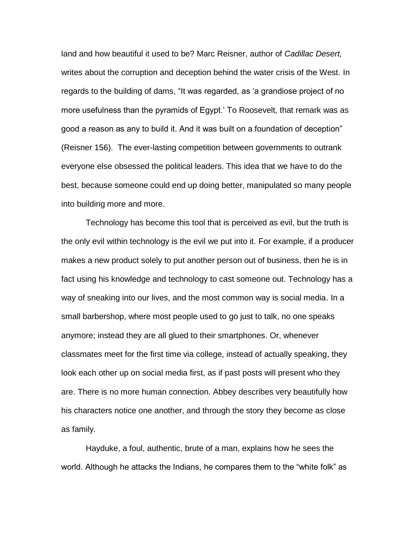land and how beautiful it used to be? Marc Reisner, author of *Cadillac Desert,*  writes about the corruption and deception behind the water crisis of the West. In regards to the building of dams, "It was regarded, as 'a grandiose project of no more usefulness than the pyramids of Egypt.' To Roosevelt, that remark was as good a reason as any to build it. And it was built on a foundation of deception" (Reisner 156). The ever-lasting competition between governments to outrank everyone else obsessed the political leaders. This idea that we have to do the best, because someone could end up doing better, manipulated so many people into building more and more.

Technology has become this tool that is perceived as evil, but the truth is the only evil within technology is the evil we put into it. For example, if a producer makes a new product solely to put another person out of business, then he is in fact using his knowledge and technology to cast someone out. Technology has a way of sneaking into our lives, and the most common way is social media. In a small barbershop, where most people used to go just to talk, no one speaks anymore; instead they are all glued to their smartphones. Or, whenever classmates meet for the first time via college, instead of actually speaking, they look each other up on social media first, as if past posts will present who they are. There is no more human connection. Abbey describes very beautifully how his characters notice one another, and through the story they become as close as family.

Hayduke, a foul, authentic, brute of a man, explains how he sees the world. Although he attacks the Indians, he compares them to the "white folk" as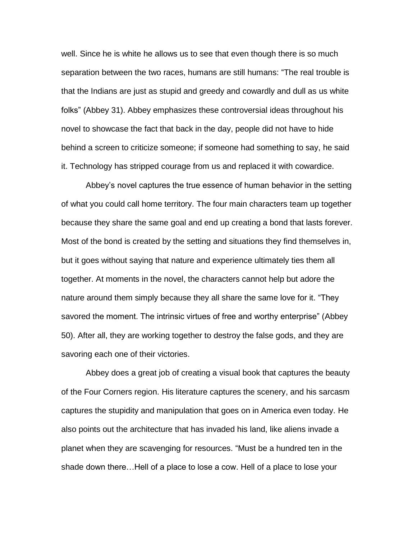well. Since he is white he allows us to see that even though there is so much separation between the two races, humans are still humans: "The real trouble is that the Indians are just as stupid and greedy and cowardly and dull as us white folks" (Abbey 31). Abbey emphasizes these controversial ideas throughout his novel to showcase the fact that back in the day, people did not have to hide behind a screen to criticize someone; if someone had something to say, he said it. Technology has stripped courage from us and replaced it with cowardice.

Abbey's novel captures the true essence of human behavior in the setting of what you could call home territory. The four main characters team up together because they share the same goal and end up creating a bond that lasts forever. Most of the bond is created by the setting and situations they find themselves in, but it goes without saying that nature and experience ultimately ties them all together. At moments in the novel, the characters cannot help but adore the nature around them simply because they all share the same love for it. "They savored the moment. The intrinsic virtues of free and worthy enterprise" (Abbey 50). After all, they are working together to destroy the false gods, and they are savoring each one of their victories.

Abbey does a great job of creating a visual book that captures the beauty of the Four Corners region. His literature captures the scenery, and his sarcasm captures the stupidity and manipulation that goes on in America even today. He also points out the architecture that has invaded his land, like aliens invade a planet when they are scavenging for resources. "Must be a hundred ten in the shade down there…Hell of a place to lose a cow. Hell of a place to lose your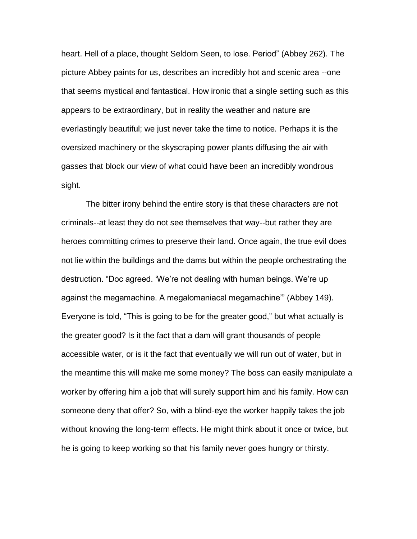heart. Hell of a place, thought Seldom Seen, to lose. Period" (Abbey 262). The picture Abbey paints for us, describes an incredibly hot and scenic area --one that seems mystical and fantastical. How ironic that a single setting such as this appears to be extraordinary, but in reality the weather and nature are everlastingly beautiful; we just never take the time to notice. Perhaps it is the oversized machinery or the skyscraping power plants diffusing the air with gasses that block our view of what could have been an incredibly wondrous sight.

The bitter irony behind the entire story is that these characters are not criminals--at least they do not see themselves that way--but rather they are heroes committing crimes to preserve their land. Once again, the true evil does not lie within the buildings and the dams but within the people orchestrating the destruction. "Doc agreed. 'We're not dealing with human beings. We're up against the megamachine. A megalomaniacal megamachine'" (Abbey 149). Everyone is told, "This is going to be for the greater good," but what actually is the greater good? Is it the fact that a dam will grant thousands of people accessible water, or is it the fact that eventually we will run out of water, but in the meantime this will make me some money? The boss can easily manipulate a worker by offering him a job that will surely support him and his family. How can someone deny that offer? So, with a blind-eye the worker happily takes the job without knowing the long-term effects. He might think about it once or twice, but he is going to keep working so that his family never goes hungry or thirsty.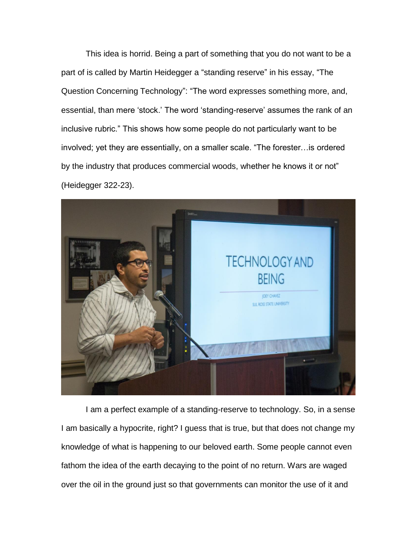This idea is horrid. Being a part of something that you do not want to be a part of is called by Martin Heidegger a "standing reserve" in his essay, "The Question Concerning Technology": "The word expresses something more, and, essential, than mere 'stock.' The word 'standing-reserve' assumes the rank of an inclusive rubric." This shows how some people do not particularly want to be involved; yet they are essentially, on a smaller scale. "The forester…is ordered by the industry that produces commercial woods, whether he knows it or not" (Heidegger 322-23).



I am a perfect example of a standing-reserve to technology. So, in a sense I am basically a hypocrite, right? I guess that is true, but that does not change my knowledge of what is happening to our beloved earth. Some people cannot even fathom the idea of the earth decaying to the point of no return. Wars are waged over the oil in the ground just so that governments can monitor the use of it and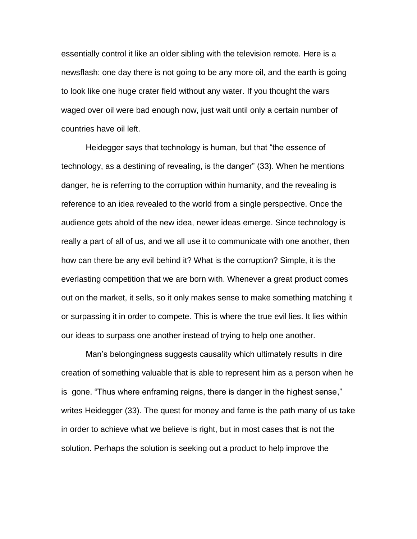essentially control it like an older sibling with the television remote. Here is a newsflash: one day there is not going to be any more oil, and the earth is going to look like one huge crater field without any water. If you thought the wars waged over oil were bad enough now, just wait until only a certain number of countries have oil left.

Heidegger says that technology is human, but that "the essence of technology, as a destining of revealing, is the danger" (33). When he mentions danger, he is referring to the corruption within humanity, and the revealing is reference to an idea revealed to the world from a single perspective. Once the audience gets ahold of the new idea, newer ideas emerge. Since technology is really a part of all of us, and we all use it to communicate with one another, then how can there be any evil behind it? What is the corruption? Simple, it is the everlasting competition that we are born with. Whenever a great product comes out on the market, it sells, so it only makes sense to make something matching it or surpassing it in order to compete. This is where the true evil lies. It lies within our ideas to surpass one another instead of trying to help one another.

Man's belongingness suggests causality which ultimately results in dire creation of something valuable that is able to represent him as a person when he is gone. "Thus where enframing reigns, there is danger in the highest sense," writes Heidegger (33). The quest for money and fame is the path many of us take in order to achieve what we believe is right, but in most cases that is not the solution. Perhaps the solution is seeking out a product to help improve the